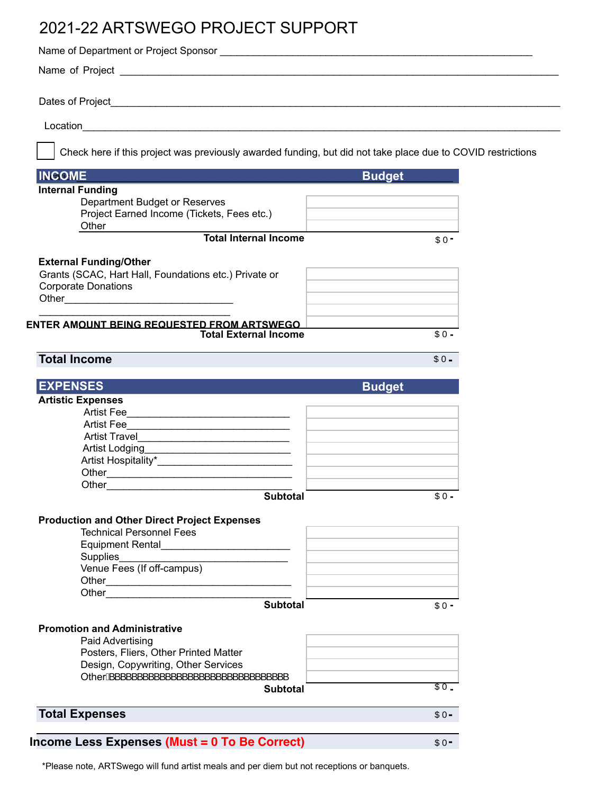## 2021-22 ARTSWEGO PROJECT SUPPORT

| Check here if this project was previously awarded funding, but did not take place due to COVID restrictions |               |
|-------------------------------------------------------------------------------------------------------------|---------------|
| <b>INCOME</b>                                                                                               | <b>Budget</b> |
| <b>Internal Funding</b>                                                                                     |               |
| Department Budget or Reserves                                                                               |               |
| Project Earned Income (Tickets, Fees etc.)                                                                  |               |
| Other<br><b>Total Internal Income</b>                                                                       |               |
|                                                                                                             | $$0 -$        |
| <b>External Funding/Other</b>                                                                               |               |
| Grants (SCAC, Hart Hall, Foundations etc.) Private or                                                       |               |
| <b>Corporate Donations</b>                                                                                  |               |
|                                                                                                             |               |
|                                                                                                             |               |
| ENTER AM <u>OUNT BEING REQUESTED FROM ARTSWEGO</u>                                                          |               |
| <b>Total External Income</b>                                                                                | $$0 -$        |
|                                                                                                             |               |
| <b>Total Income</b>                                                                                         | $$0 -$        |
|                                                                                                             |               |
| <b>EXPENSES</b>                                                                                             | <b>Budget</b> |
| <b>Artistic Expenses</b>                                                                                    |               |
|                                                                                                             |               |
|                                                                                                             |               |
|                                                                                                             |               |
|                                                                                                             |               |
|                                                                                                             |               |
| Other <b>Communication</b>                                                                                  |               |
| Other                                                                                                       |               |
| <b>Subtotal</b>                                                                                             | $$0 -$        |
|                                                                                                             |               |
| <b>Production and Other Direct Project Expenses</b>                                                         |               |
| <b>Technical Personnel Fees</b>                                                                             |               |
|                                                                                                             |               |
|                                                                                                             |               |
| Venue Fees (If off-campus)                                                                                  |               |
|                                                                                                             |               |
|                                                                                                             |               |
| <b>Subtotal</b>                                                                                             | $$0 -$        |
| <b>Promotion and Administrative</b>                                                                         |               |
| Paid Advertising                                                                                            |               |
| Posters, Fliers, Other Printed Matter                                                                       |               |
| Design, Copywriting, Other Services                                                                         |               |
| .<br>OtherA <sup>'</sup>                                                                                    |               |
| <b>Subtotal</b>                                                                                             | \$0.          |
|                                                                                                             |               |
| <b>Total Expenses</b>                                                                                       | $$0 -$        |
|                                                                                                             |               |
| Income Less Expenses (Must = 0 To Be Correct)                                                               | $$0 -$        |
|                                                                                                             |               |

\*Please note, ARTSwego will fund artist meals and per diem but not receptions or banquets.